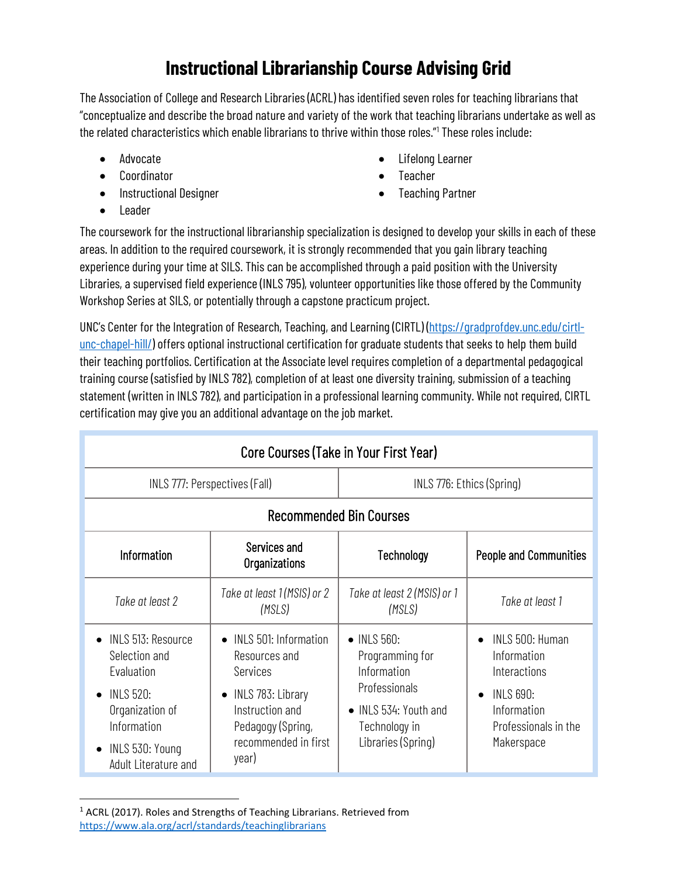## **Instructional Librarianship Course Advising Grid**

The Association of College and Research Libraries (ACRL) has identified seven roles for teaching librarians that "conceptualize and describe the broad nature and variety of the work that teaching librarians undertake as well as the related characteristics which enable librarians to thrive within those roles."[1](#page-0-0) These roles include:

- Advocate
- Coordinator
- Instructional Designer
- Lifelong Learner
- **Teacher**

• Leader

• Teaching Partner

The coursework for the instructional librarianship specialization is designed to develop your skills in each of these areas. In addition to the required coursework, it is strongly recommended that you gain library teaching experience during your time at SILS. This can be accomplished through a paid position with the University Libraries, a supervised field experience (INLS 795), volunteer opportunities like those offered by the Community Workshop Series at SILS, or potentially through a capstone practicum project.

UNC's Center for the Integration of Research, Teaching, and Learning (CIRTL) [\(https://gradprofdev.unc.edu/cirtl](https://gradprofdev.unc.edu/cirtl-unc-chapel-hill/)[unc-chapel-hill/\)](https://gradprofdev.unc.edu/cirtl-unc-chapel-hill/) offers optional instructional certification for graduate students that seeks to help them build their teaching portfolios. Certification at the Associate level requires completion of a departmental pedagogical training course (satisfied by INLS 782), completion of at least one diversity training, submission of a teaching statement (written in INLS 782), and participation in a professional learning community. While not required, CIRTL certification may give you an additional advantage on the job market.

| Core Courses (Take in Your First Year)                                                                                                                                       |                                                                                                                                                                 |                                                                                                                                |                                                                                                                         |  |
|------------------------------------------------------------------------------------------------------------------------------------------------------------------------------|-----------------------------------------------------------------------------------------------------------------------------------------------------------------|--------------------------------------------------------------------------------------------------------------------------------|-------------------------------------------------------------------------------------------------------------------------|--|
| INLS 777: Perspectives (Fall)                                                                                                                                                |                                                                                                                                                                 | INLS 776: Ethics (Spring)                                                                                                      |                                                                                                                         |  |
| <b>Recommended Bin Courses</b>                                                                                                                                               |                                                                                                                                                                 |                                                                                                                                |                                                                                                                         |  |
| Information                                                                                                                                                                  | Services and<br>Organizations                                                                                                                                   | Technology                                                                                                                     | <b>People and Communities</b>                                                                                           |  |
| Take at least 2                                                                                                                                                              | Take at least 1 (MSIS) or 2<br>(MSLS)                                                                                                                           | Take at least 2 (MSIS) or 1<br>(MSLS)                                                                                          | Take at least 1                                                                                                         |  |
| INLS 513: Resource<br>$\bullet$<br>Selection and<br>Evaluation<br><b>INLS 520:</b><br>$\bullet$<br>Organization of<br>Information<br>INLS 530: Young<br>Adult Literature and | • INLS 501: Information<br>Resources and<br>Services<br>INLS 783: Library<br>$\bullet$<br>Instruction and<br>Pedagogy (Spring,<br>recommended in first<br>year) | • INLS 560:<br>Programming for<br>Information<br>Professionals<br>• INLS 534: Youth and<br>Technology in<br>Libraries (Spring) | INLS 500: Human<br>Information<br>Interactions<br><b>INLS 690:</b><br>Information<br>Professionals in the<br>Makerspace |  |

## <span id="page-0-0"></span><sup>1</sup> ACRL (2017). Roles and Strengths of Teaching Librarians. Retrieved from <https://www.ala.org/acrl/standards/teachinglibrarians>